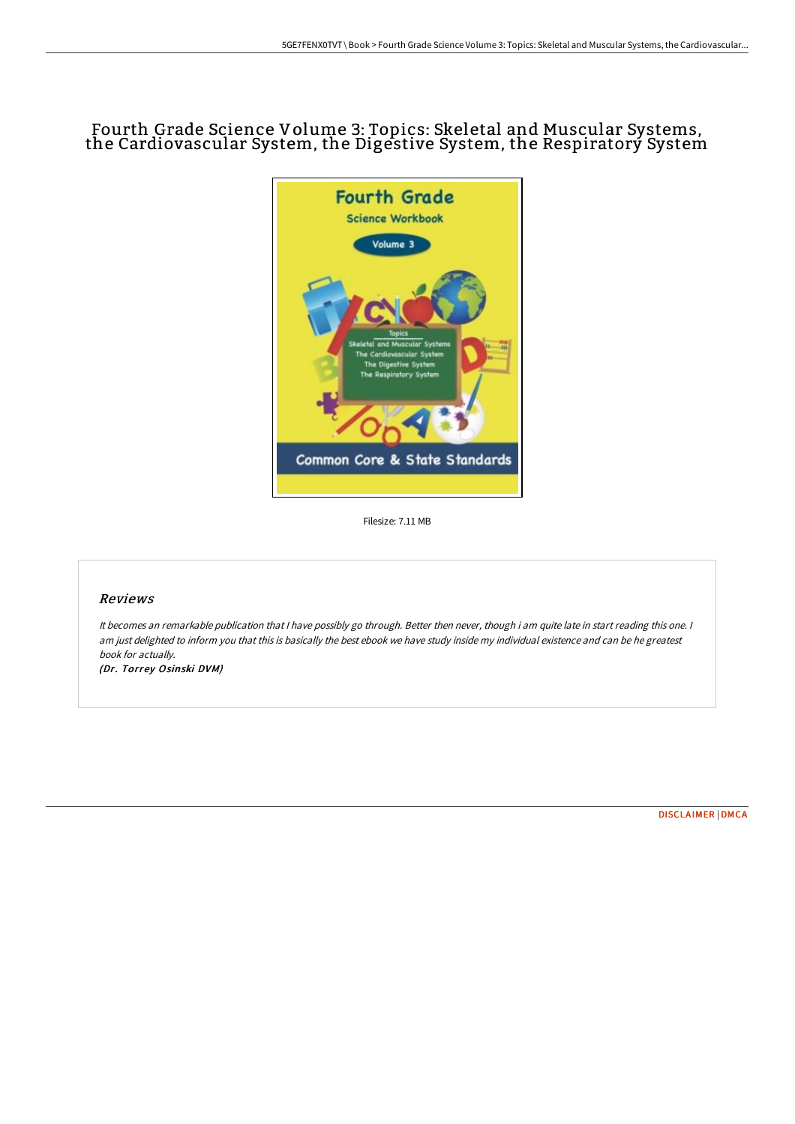## Fourth Grade Science Volume 3: Topics: Skeletal and Muscular Systems, the Cardiovascular System, the Digestive System, the Respiratorý System



Filesize: 7.11 MB

## Reviews

It becomes an remarkable publication that I have possibly go through. Better then never, though i am quite late in start reading this one. I am just delighted to inform you that this is basically the best ebook we have study inside my individual existence and can be he greatest book for actually.

(Dr. Torrey Osinski DVM)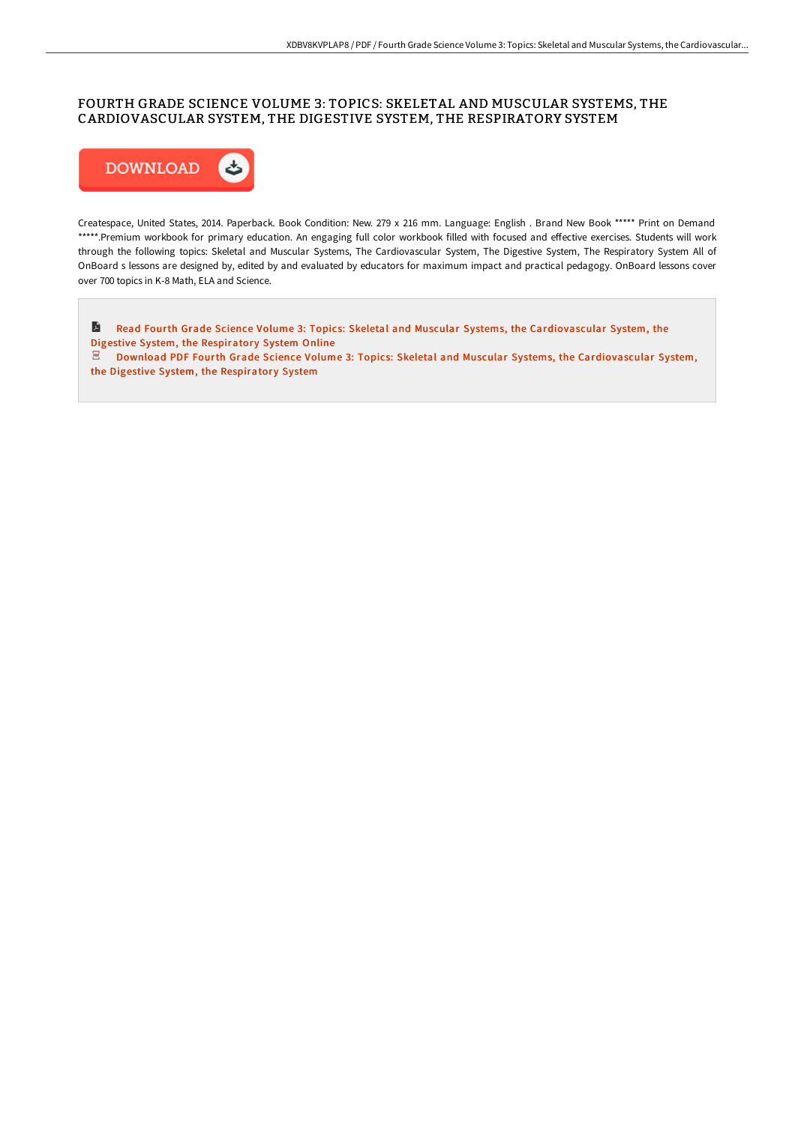## FOURTH GRADE SCIENCE VOLUME 3: TOPICS: SKELETAL AND MUSCULAR SYSTEMS, THE CARDIOVASCULAR SYSTEM, THE DIGESTIVE SYSTEM, THE RESPIRATORY SYSTEM



Createspace, United States, 2014. Paperback. Book Condition: New. 279 x 216 mm. Language: English . Brand New Book \*\*\*\*\* Print on Demand \*\*\*\*\*.Premium workbook for primary education. An engaging full color workbook filled with focused and effective exercises. Students will work through the following topics: Skeletal and Muscular Systems, The Cardiovascular System, The Digestive System, The Respiratory System All of OnBoard s lessons are designed by, edited by and evaluated by educators for maximum impact and practical pedagogy. OnBoard lessons cover over 700 topics in K-8 Math, ELA and Science.

Read Fourth Grade Science Volume 3: Topics: Skeletal and Muscular Systems, the [Cardiovascular](http://techno-pub.tech/fourth-grade-science-volume-3-topics-skeletal-an.html) System, the Digestive System, the Respiratory System Online

 $\mathbb Z$  Download PDF Fourth Grade Science Volume 3: Topics: Skeletal and Muscular Systems, the [Cardiovascular](http://techno-pub.tech/fourth-grade-science-volume-3-topics-skeletal-an.html) System, the Digestive System, the Respiratory System